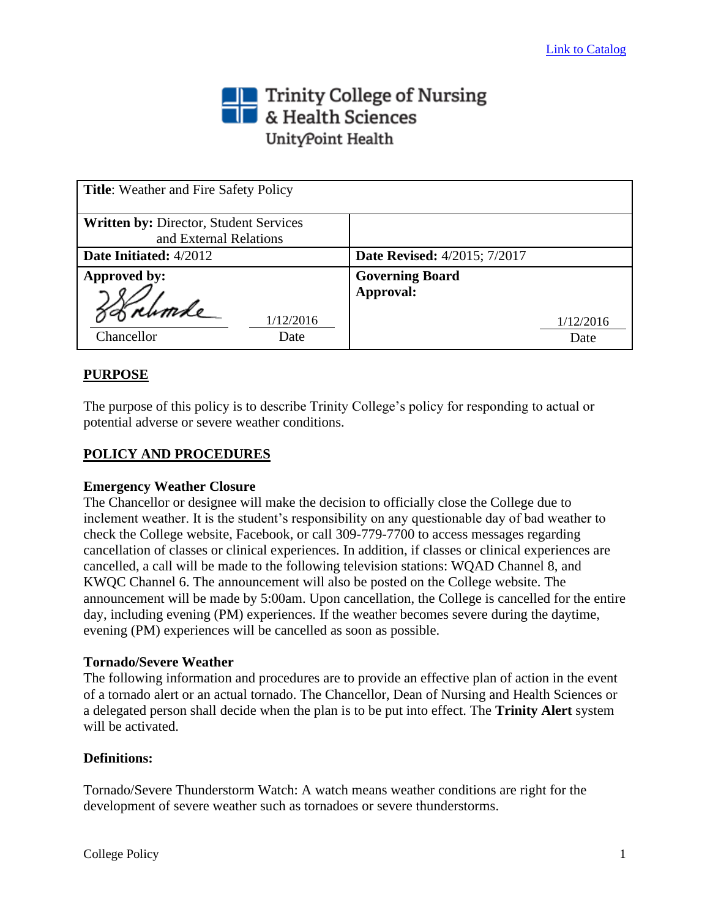# Trinity College of Nursing<br>THE & Health Sciences UnityPoint Health

| <b>Title:</b> Weather and Fire Safety Policy                            |                                     |
|-------------------------------------------------------------------------|-------------------------------------|
| <b>Written by: Director, Student Services</b><br>and External Relations |                                     |
| Date Initiated: 4/2012                                                  | <b>Date Revised:</b> 4/2015; 7/2017 |
| Approved by:                                                            | <b>Governing Board</b><br>Approval: |
| 1/12/2016<br>Chancellor<br>Date                                         | 1/12/2016<br>Date                   |

# **PURPOSE**

The purpose of this policy is to describe Trinity College's policy for responding to actual or potential adverse or severe weather conditions.

## **POLICY AND PROCEDURES**

#### **Emergency Weather Closure**

The Chancellor or designee will make the decision to officially close the College due to inclement weather. It is the student's responsibility on any questionable day of bad weather to check the College website, Facebook, or call 309-779-7700 to access messages regarding cancellation of classes or clinical experiences. In addition, if classes or clinical experiences are cancelled, a call will be made to the following television stations: WQAD Channel 8, and KWQC Channel 6. The announcement will also be posted on the College website. The announcement will be made by 5:00am. Upon cancellation, the College is cancelled for the entire day, including evening (PM) experiences. If the weather becomes severe during the daytime, evening (PM) experiences will be cancelled as soon as possible.

#### **Tornado/Severe Weather**

The following information and procedures are to provide an effective plan of action in the event of a tornado alert or an actual tornado. The Chancellor, Dean of Nursing and Health Sciences or a delegated person shall decide when the plan is to be put into effect. The **Trinity Alert** system will be activated.

## **Definitions:**

Tornado/Severe Thunderstorm Watch: A watch means weather conditions are right for the development of severe weather such as tornadoes or severe thunderstorms.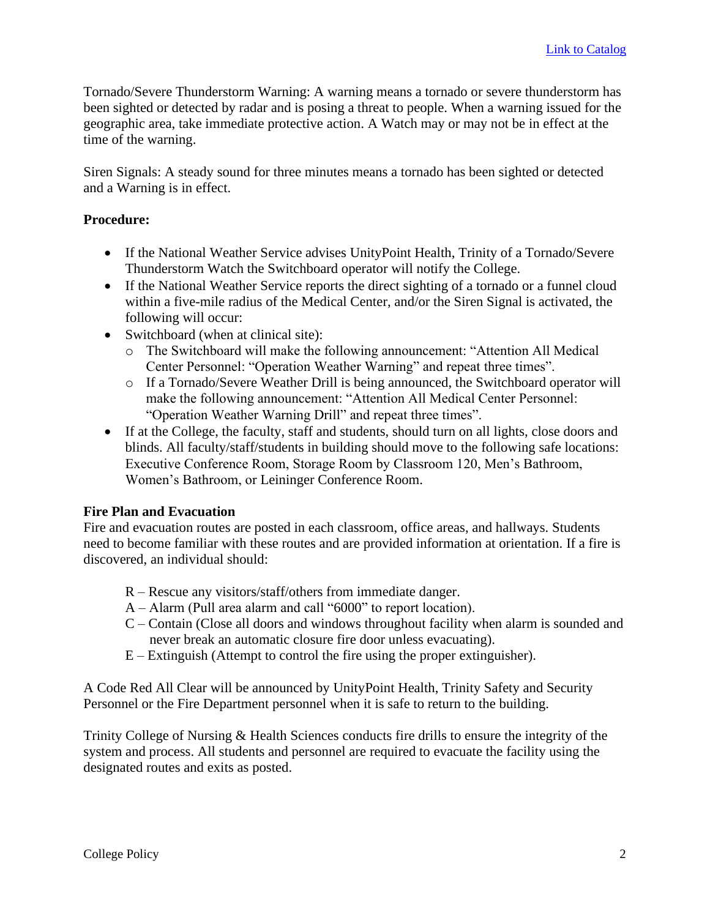Tornado/Severe Thunderstorm Warning: A warning means a tornado or severe thunderstorm has been sighted or detected by radar and is posing a threat to people. When a warning issued for the geographic area, take immediate protective action. A Watch may or may not be in effect at the time of the warning.

Siren Signals: A steady sound for three minutes means a tornado has been sighted or detected and a Warning is in effect.

# **Procedure:**

- If the National Weather Service advises UnityPoint Health, Trinity of a Tornado/Severe Thunderstorm Watch the Switchboard operator will notify the College.
- If the National Weather Service reports the direct sighting of a tornado or a funnel cloud within a five-mile radius of the Medical Center, and/or the Siren Signal is activated, the following will occur:
- Switchboard (when at clinical site):
	- o The Switchboard will make the following announcement: "Attention All Medical Center Personnel: "Operation Weather Warning" and repeat three times".
	- o If a Tornado/Severe Weather Drill is being announced, the Switchboard operator will make the following announcement: "Attention All Medical Center Personnel: "Operation Weather Warning Drill" and repeat three times".
- If at the College, the faculty, staff and students, should turn on all lights, close doors and blinds. All faculty/staff/students in building should move to the following safe locations: Executive Conference Room, Storage Room by Classroom 120, Men's Bathroom, Women's Bathroom, or Leininger Conference Room.

# **Fire Plan and Evacuation**

Fire and evacuation routes are posted in each classroom, office areas, and hallways. Students need to become familiar with these routes and are provided information at orientation. If a fire is discovered, an individual should:

- R Rescue any visitors/staff/others from immediate danger.
- A Alarm (Pull area alarm and call "6000" to report location).
- C Contain (Close all doors and windows throughout facility when alarm is sounded and never break an automatic closure fire door unless evacuating).
- E Extinguish (Attempt to control the fire using the proper extinguisher).

A Code Red All Clear will be announced by UnityPoint Health, Trinity Safety and Security Personnel or the Fire Department personnel when it is safe to return to the building.

Trinity College of Nursing & Health Sciences conducts fire drills to ensure the integrity of the system and process. All students and personnel are required to evacuate the facility using the designated routes and exits as posted.